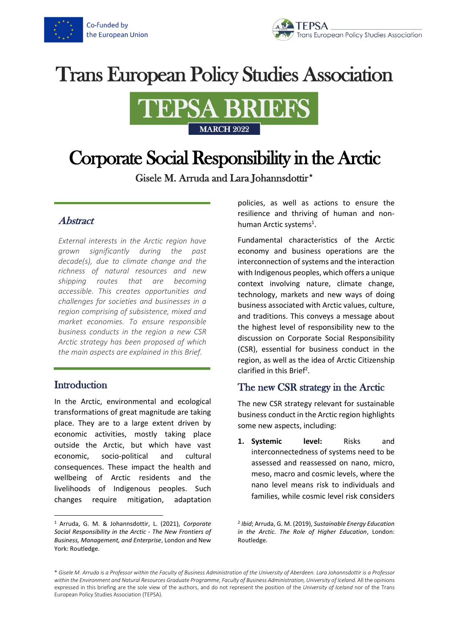



# **Trans European Policy Studies Association**



# Corporate Social Responsibility in the Arctic

Gisele M. Arruda and Lara Johannsdottir\*

### Abstract

*External interests in the Arctic region have grown significantly during the past decade(s), due to climate change and the richness of natural resources and new shipping routes that are becoming accessible. This creates opportunities and challenges for societies and businesses in a region comprising of subsistence, mixed and market economies. To ensure responsible business conducts in the region a new CSR Arctic strategy has been proposed of which the main aspects are explained in this Brief.*

## **Introduction**

In the Arctic, environmental and ecological transformations of great magnitude are taking place. They are to a large extent driven by economic activities, mostly taking place outside the Arctic, but which have vast economic, socio-political and cultural consequences. These impact the health and wellbeing of Arctic residents and the livelihoods of Indigenous peoples. Such changes require mitigation, adaptation policies, as well as actions to ensure the resilience and thriving of human and nonhuman Arctic systems<sup>1</sup>.

Fundamental characteristics of the Arctic economy and business operations are the interconnection of systems and the interaction with Indigenous peoples, which offers a unique context involving nature, climate change, technology, markets and new ways of doing business associated with Arctic values, culture, and traditions. This conveys a message about the highest level of responsibility new to the discussion on Corporate Social Responsibility (CSR), essential for business conduct in the region, as well as the idea of Arctic Citizenship clarified in this Brief<sup>2</sup>.

## The new CSR strategy in the Arctic

The new CSR strategy relevant for sustainable business conduct in the Arctic region highlights some new aspects, including:

**1. Systemic level:** Risks and interconnectedness of systems need to be assessed and reassessed on nano, micro, meso, macro and cosmic levels, where the nano level means risk to individuals and families, while cosmic level risk considers

<sup>1</sup> Arruda, G. M. & Johannsdottir, L. (2021), *Corporate Social Responsibility in the Arctic - The New Frontiers of Business, Management, and Enterprise*, London and New York: Routledge.

<sup>2</sup> *Ibid*; Arruda, G. M. (2019), *Sustainable Energy Education in the Arctic. The Role of Higher Education*, London: Routledge.

<sup>\*</sup> *Gisele M. Arruda is a Professor within the Faculty of Business Administration of the University of Aberdeen. Lara Johannsdottir is a Professor within the Environment and Natural Resources Graduate Programme, Faculty of Business Administration, University of Iceland.* All the opinions expressed in this briefing are the sole view of the authors, and do not represent the position of the *University of Iceland* nor of the Trans European Policy Studies Association (TEPSA).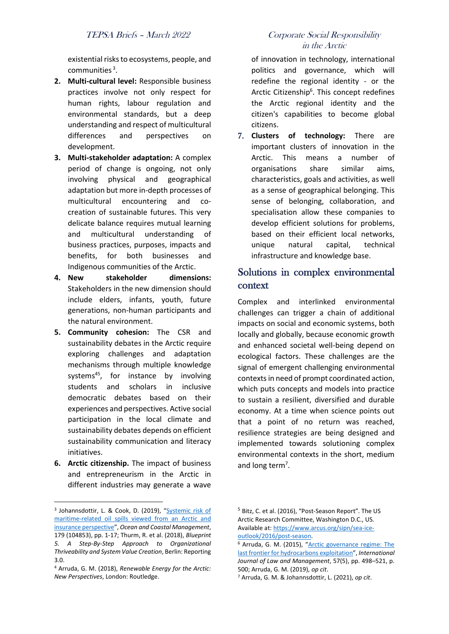existential risks to ecosystems, people, and communities<sup>3</sup>.

- **2. Multi-cultural level:** Responsible business practices involve not only respect for human rights, labour regulation and environmental standards, but a deep understanding and respect of multicultural differences and perspectives on development.
- **3. Multi-stakeholder adaptation:** A complex period of change is ongoing, not only involving physical and geographical adaptation but more in-depth processes of multicultural encountering and cocreation of sustainable futures. This very delicate balance requires mutual learning and multicultural understanding of business practices, purposes, impacts and benefits, for both businesses and Indigenous communities of the Arctic.
- **4. New stakeholder dimensions:** Stakeholders in the new dimension should include elders, infants, youth, future generations, non-human participants and the natural environment.
- **5. Community cohesion:** The CSR and sustainability debates in the Arctic require exploring challenges and adaptation mechanisms through multiple knowledge systems<sup>45</sup>, for instance by involving students and scholars in inclusive democratic debates based on their experiences and perspectives. Active social participation in the local climate and sustainability debates depends on efficient sustainability communication and literacy initiatives.
- **6. Arctic citizenship.** The impact of business and entrepreneurism in the Arctic in different industries may generate a wave

### politics and governance, which will redefine the regional identity - or the

Arctic Citizenship<sup>6</sup>. This concept redefines the Arctic regional identity and the citizen's capabilities to become global citizens.

in the Arctic

of innovation in technology, international

7. **Clusters of technology:** There are important clusters of innovation in the Arctic. This means a number of organisations share similar aims, characteristics, goals and activities, as well as a sense of geographical belonging. This sense of belonging, collaboration, and specialisation allow these companies to develop efficient solutions for problems, based on their efficient local networks, unique natural capital, technical infrastructure and knowledge base.

# Solutions in complex environmental context

Complex and interlinked environmental challenges can trigger a chain of additional impacts on social and economic systems, both locally and globally, because economic growth and enhanced societal well-being depend on ecological factors. These challenges are the signal of emergent challenging environmental contexts in need of prompt coordinated action, which puts concepts and models into practice to sustain a resilient, diversified and durable economy. At a time when science points out that a point of no return was reached, resilience strategies are being designed and implemented towards solutioning complex environmental contexts in the short, medium and long term<sup>7</sup>.

<sup>&</sup>lt;sup>3</sup> Johannsdottir, L. & Cook, D. (2019), "Systemic risk of [maritime-related oil spills viewed from an Arctic and](https://opinvisindi.is/handle/20.500.11815/1698?show=full&locale-attribute=en)  [insurance perspective](https://opinvisindi.is/handle/20.500.11815/1698?show=full&locale-attribute=en)", *Ocean and Coastal Management*, 179 (104853), pp. 1-17; Thurm, R. et al. (2018), *Blueprint 5. A Step-By-Step Approach to Organizational Thriveability and System Value Creation*, Berlin: Reporting 3.0.

<sup>4</sup> Arruda, G. M. (2018), *Renewable Energy for the Arctic: New Perspectives*, London: Routledge.

<sup>&</sup>lt;sup>5</sup> Bitz, C. et al. (2016), "Post-Season Report". The US Arctic Research Committee, Washington D.C., US. Available at[: https://www.arcus.org/sipn/sea-ice](https://www.arcus.org/sipn/sea-ice-outlook/2016/post-season)[outlook/2016/post-season.](https://www.arcus.org/sipn/sea-ice-outlook/2016/post-season)

<sup>&</sup>lt;sup>6</sup> Arruda, G. M. (2015), "Arctic governance regime: The [last frontier for hydrocarbons exploitation](https://www.emerald.com/insight/content/doi/10.1108/IJLMA-09-2014-0054/full/html)", *International Journal of Law and Management*, 57(5), pp. 498–521, p. 500; Arruda, G. M. (2019), *op cit*.

<sup>7</sup> Arruda, G. M. & Johannsdottir, L. (2021), *op cit*.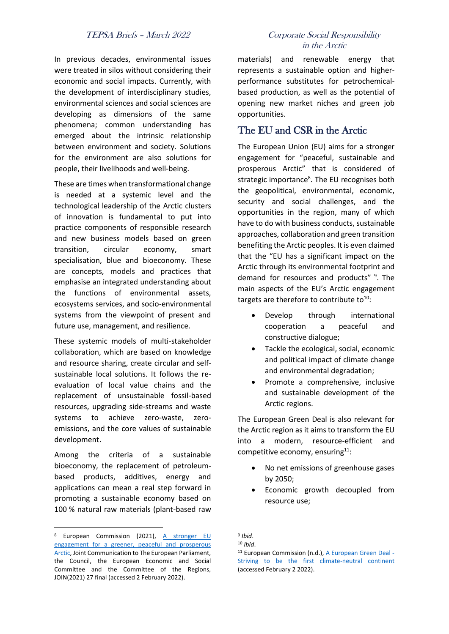In previous decades, environmental issues were treated in silos without considering their economic and social impacts. Currently, with the development of interdisciplinary studies, environmental sciences and social sciences are developing as dimensions of the same phenomena; common understanding has emerged about the intrinsic relationship between environment and society. Solutions for the environment are also solutions for people, their livelihoods and well-being.

These are times when transformational change is needed at a systemic level and the technological leadership of the Arctic clusters of innovation is fundamental to put into practice components of responsible research and new business models based on green transition, circular economy, smart specialisation, blue and bioeconomy. These are concepts, models and practices that emphasise an integrated understanding about the functions of environmental assets, ecosystems services, and socio-environmental systems from the viewpoint of present and future use, management, and resilience.

These systemic models of multi-stakeholder collaboration, which are based on knowledge and resource sharing, create circular and selfsustainable local solutions. It follows the reevaluation of local value chains and the replacement of unsustainable fossil-based resources, upgrading side-streams and waste systems to achieve zero-waste, zeroemissions, and the core values of sustainable development.

Among the criteria of a sustainable bioeconomy, the replacement of petroleumbased products, additives, energy and applications can mean a real step forward in promoting a sustainable economy based on 100 % natural raw materials (plant-based raw

### TEPSA Briefs – March 2022 Corporate Social Responsibility in the Arctic

materials) and renewable energy that represents a sustainable option and higherperformance substitutes for petrochemicalbased production, as well as the potential of opening new market niches and green job opportunities.

## The EU and CSR in the Arctic

The European Union (EU) aims for a stronger engagement for "peaceful, sustainable and prosperous Arctic" that is considered of strategic importance<sup>8</sup>. The EU recognises both the geopolitical, environmental, economic, security and social challenges, and the opportunities in the region, many of which have to do with business conducts, sustainable approaches, collaboration and green transition benefiting the Arctic peoples. It is even claimed that the "EU has a significant impact on the Arctic through its environmental footprint and demand for resources and products"<sup>9</sup>. The main aspects of the EU's Arctic engagement targets are therefore to contribute to<sup>10</sup>:

- Develop through international cooperation a peaceful and constructive dialogue;
- Tackle the ecological, social, economic and political impact of climate change and environmental degradation;
- Promote a comprehensive, inclusive and sustainable development of the Arctic regions.

The European Green Deal is also relevant for the Arctic region as it aims to transform the EU into a modern, resource-efficient and competitive economy, ensuring $11$ :

- No net emissions of greenhouse gases by 2050;
- Economic growth decoupled from resource use;

<sup>8</sup> European Commission (2021), A stronger EU [engagement for a greener, peaceful and prosperous](https://eeas.europa.eu/sites/default/files/2_en_act_part1_v7.pdf)  [Arctic,](https://eeas.europa.eu/sites/default/files/2_en_act_part1_v7.pdf) Joint Communication to The European Parliament, the Council, the European Economic and Social Committee and the Committee of the Regions, JOIN(2021) 27 final (accessed 2 February 2022).

<sup>9</sup> *Ibid*.

<sup>10</sup> *Ibid*.

<sup>11</sup> European Commission (n.d.), [A European Green Deal -](https://ec.europa.eu/info/strategy/priorities-2019-2024/european-green-deal_en) [Striving to be the first climate-neutral continent](https://ec.europa.eu/info/strategy/priorities-2019-2024/european-green-deal_en) (accessed February 2 2022).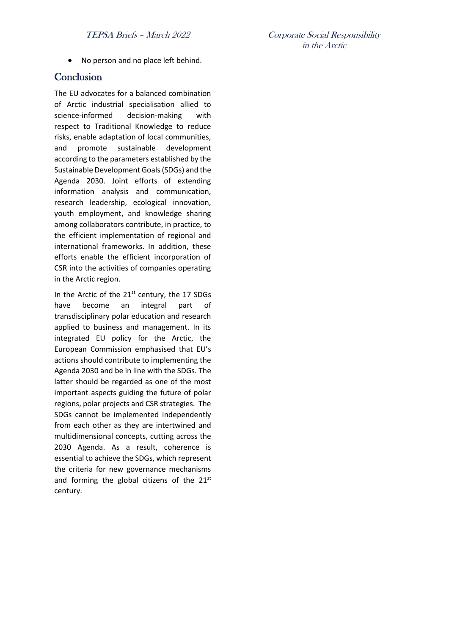• No person and no place left behind.

### **Conclusion**

The EU advocates for a balanced combination of Arctic industrial specialisation allied to science-informed decision-making with respect to Traditional Knowledge to reduce risks, enable adaptation of local communities, and promote sustainable development according to the parameters established by the Sustainable Development Goals (SDGs) and the Agenda 2030. Joint efforts of extending information analysis and communication, research leadership, ecological innovation, youth employment, and knowledge sharing among collaborators contribute, in practice, to the efficient implementation of regional and international frameworks. In addition, these efforts enable the efficient incorporation of CSR into the activities of companies operating in the Arctic region.

In the Arctic of the 21<sup>st</sup> century, the 17 SDGs have become an integral part of transdisciplinary polar education and research applied to business and management. In its integrated EU policy for the Arctic, the European Commission emphasised that EU's actions should contribute to implementing the Agenda 2030 and be in line with the SDGs. The latter should be regarded as one of the most important aspects guiding the future of polar regions, polar projects and CSR strategies. The SDGs cannot be implemented independently from each other as they are intertwined and multidimensional concepts, cutting across the 2030 Agenda. As a result, coherence is essential to achieve the SDGs, which represent the criteria for new governance mechanisms and forming the global citizens of the  $21^{st}$ century.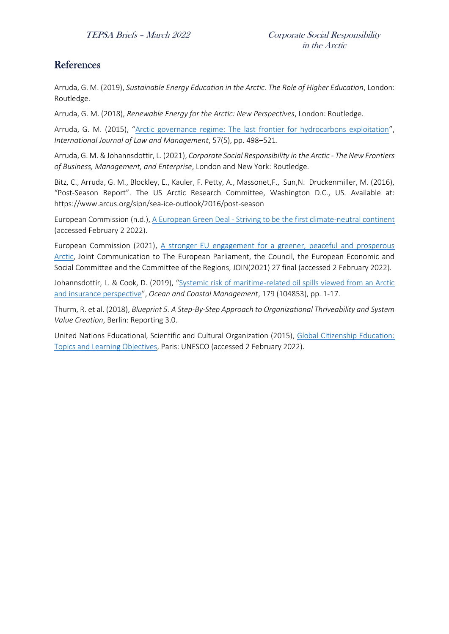## References

Arruda, G. M. (2019), *Sustainable Energy Education in the Arctic. The Role of Higher Education*, London: Routledge.

Arruda, G. M. (2018), *Renewable Energy for the Arctic: New Perspectives*, London: Routledge.

Arruda, G. M. (2015), "[Arctic governance regime: The last frontier for hydrocarbons exploitation](https://www.emerald.com/insight/content/doi/10.1108/IJLMA-09-2014-0054/full/html)", *International Journal of Law and Management*, 57(5), pp. 498–521.

Arruda, G. M. & Johannsdottir, L. (2021), *Corporate Social Responsibility in the Arctic - The New Frontiers of Business, Management, and Enterprise*, London and New York: Routledge.

Bitz, C., Arruda, G. M., Blockley, E., Kauler, F. Petty, A., Massonet, F., Sun, N. Druckenmiller, M. (2016), "Post-Season Report". The US Arctic Research Committee, Washington D.C., US. Available at: https://www.arcus.org/sipn/sea-ice-outlook/2016/post-season

European Commission (n.d.), A European Green Deal - [Striving to be the first climate-neutral continent](https://ec.europa.eu/info/strategy/priorities-2019-2024/european-green-deal_en) (accessed February 2 2022).

European Commission (2021), A stronger EU engagement for a greener, peaceful and prosperous [Arctic,](https://eeas.europa.eu/sites/default/files/2_en_act_part1_v7.pdf) Joint Communication to The European Parliament, the Council, the European Economic and Social Committee and the Committee of the Regions, JOIN(2021) 27 final (accessed 2 February 2022).

Johannsdottir, L. & Cook, D. (2019), "Systemic risk of maritime-related oil spills viewed from an Arctic [and insurance perspective](https://opinvisindi.is/handle/20.500.11815/1698?show=full&locale-attribute=en)", *Ocean and Coastal Management*, 179 (104853), pp. 1-17.

Thurm, R. et al. (2018), *Blueprint 5. A Step-By-Step Approach to Organizational Thriveability and System Value Creation*, Berlin: Reporting 3.0.

United Nations Educational, Scientific and Cultural Organization (2015), [Global Citizenship Education:](https://unesdoc.unesco.org/ark:/48223/pf0000232993)  [Topics and Learning Objectives,](https://unesdoc.unesco.org/ark:/48223/pf0000232993) Paris: UNESCO (accessed 2 February 2022).